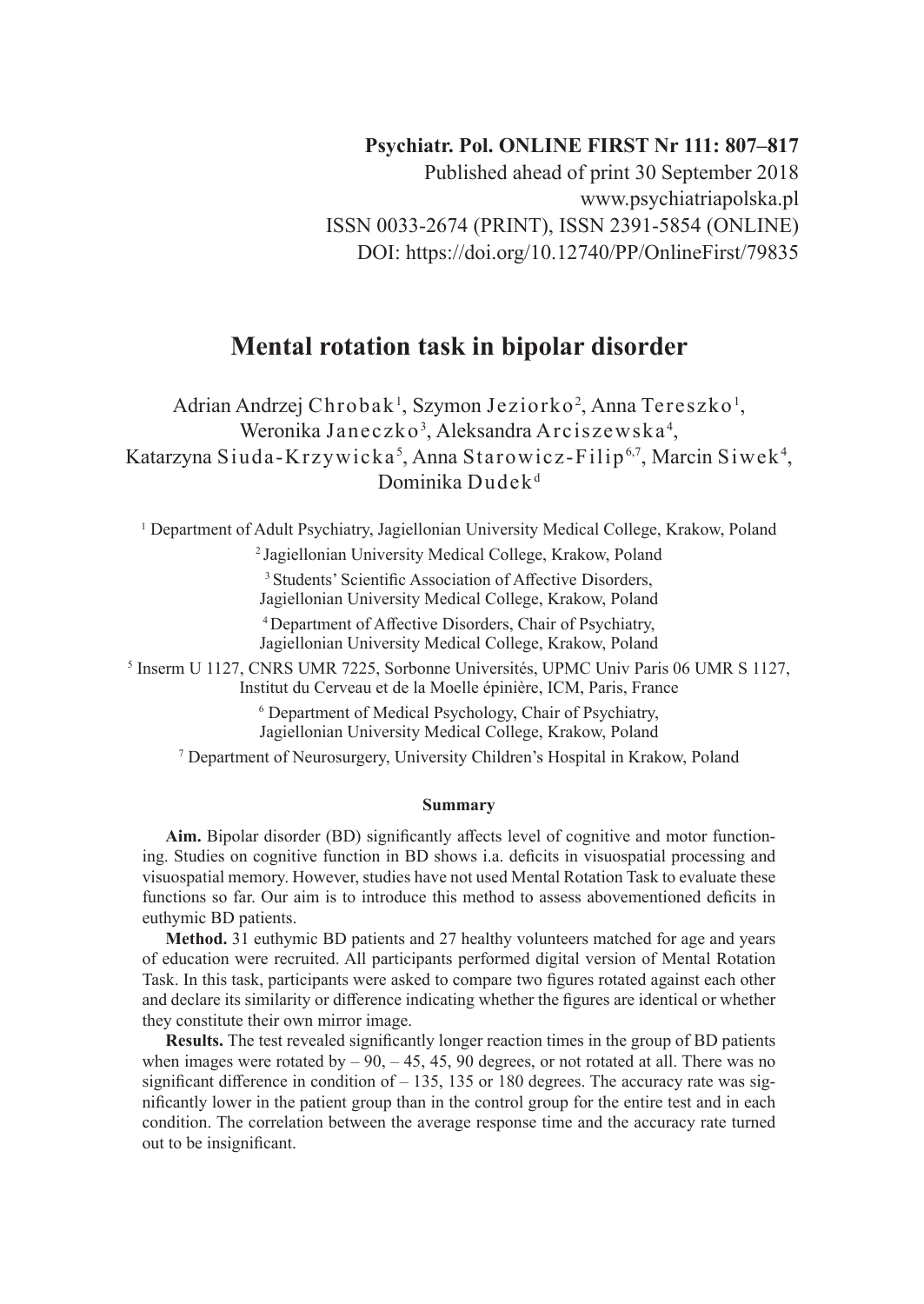## **Psychiatr. Pol. ONLINE FIRST Nr 111: 807–817**

Published ahead of print 30 September 2018 www.psychiatriapolska.pl ISSN 0033-2674 (PRINT), ISSN 2391-5854 (ONLINE) DOI: https://doi.org/10.12740/PP/OnlineFirst/79835

# **Mental rotation task in bipolar disorder**

Adrian Andrzej Chrobak<sup>1</sup>, Szymon Jeziorko<sup>2</sup>, Anna Tereszko<sup>1</sup>, Weronika Janeczko<sup>3</sup>, Aleksandra Arciszewska $^4$ , Katarzyna Siuda-Krzywicka<sup>5</sup>, Anna Starowicz-Filip<sup>6,7</sup>, Marcin Siwek<sup>4</sup>, Dominika Dudek<sup>d</sup>

1 Department of Adult Psychiatry, Jagiellonian University Medical College, Krakow, Poland

2 Jagiellonian University Medical College, Krakow, Poland

<sup>3</sup> Students' Scientific Association of Affective Disorders,

Jagiellonian University Medical College, Krakow, Poland

<sup>4</sup>Department of Affective Disorders, Chair of Psychiatry,

Jagiellonian University Medical College, Krakow, Poland

<sup>5</sup> Inserm U 1127, CNRS UMR 7225, Sorbonne Universités, UPMC Univ Paris 06 UMR S 1127,

Institut du Cerveau et de la Moelle épinière, ICM, Paris, France

6 Department of Medical Psychology, Chair of Psychiatry,

Jagiellonian University Medical College, Krakow, Poland

7 Department of Neurosurgery, University Children's Hospital in Krakow, Poland

#### **Summary**

**Aim.** Bipolar disorder (BD) significantly affects level of cognitive and motor functioning. Studies on cognitive function in BD shows i.a. deficits in visuospatial processing and visuospatial memory. However, studies have not used Mental Rotation Task to evaluate these functions so far. Our aim is to introduce this method to assess abovementioned deficits in euthymic BD patients.

**Method.** 31 euthymic BD patients and 27 healthy volunteers matched for age and years of education were recruited. All participants performed digital version of Mental Rotation Task. In this task, participants were asked to compare two figures rotated against each other and declare its similarity or difference indicating whether the figures are identical or whether they constitute their own mirror image.

**Results.** The test revealed significantly longer reaction times in the group of BD patients when images were rotated by  $-90, -45, 45, 90$  degrees, or not rotated at all. There was no significant difference in condition of  $-135$ , 135 or 180 degrees. The accuracy rate was significantly lower in the patient group than in the control group for the entire test and in each condition. The correlation between the average response time and the accuracy rate turned out to be insignificant.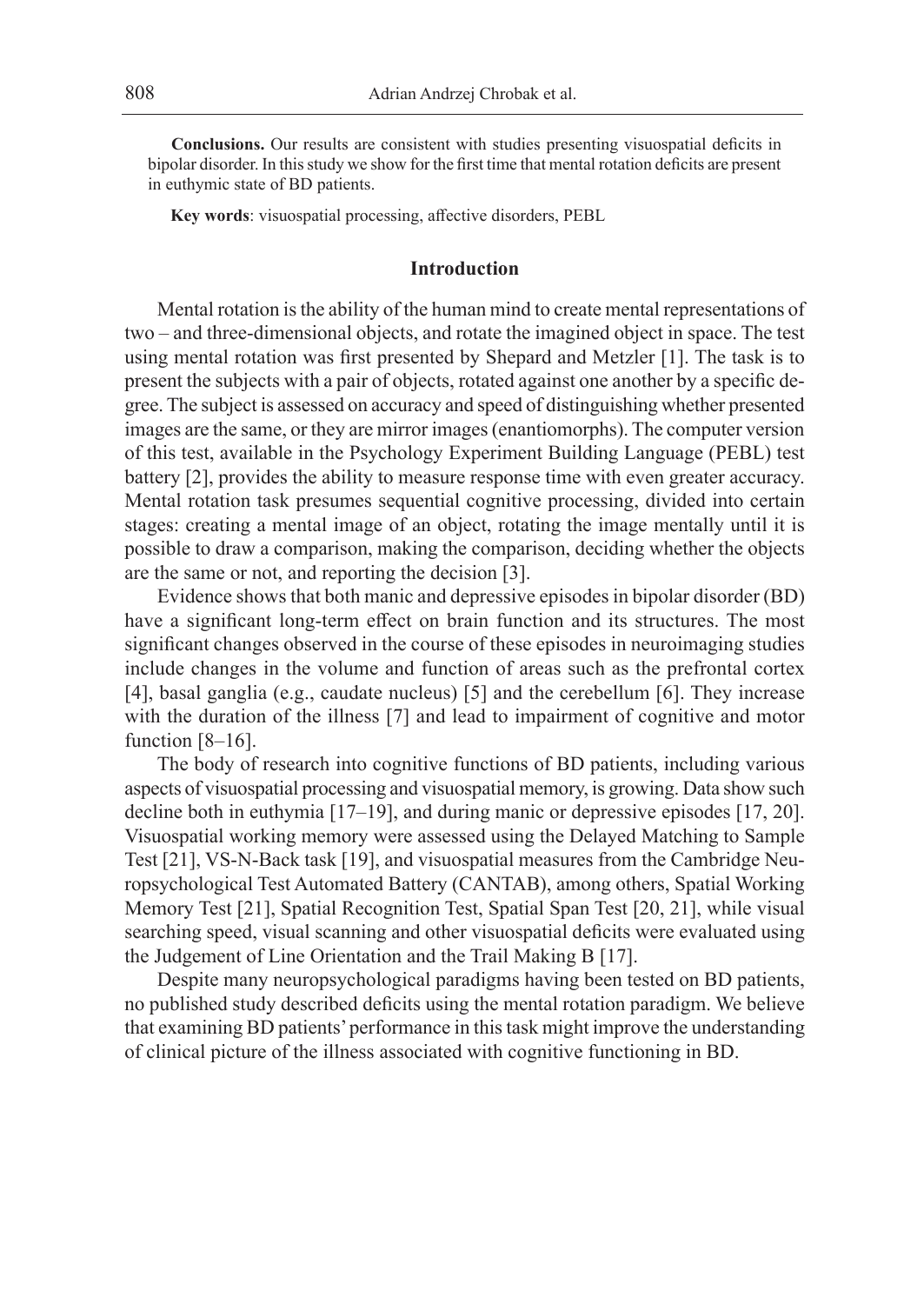**Conclusions.** Our results are consistent with studies presenting visuospatial deficits in bipolar disorder. In this study we show for the first time that mental rotation deficits are present in euthymic state of BD patients.

**Key words**: visuospatial processing, affective disorders, PEBL

## **Introduction**

Mental rotation is the ability of the human mind to create mental representations of two – and three-dimensional objects, and rotate the imagined object in space. The test using mental rotation was first presented by Shepard and Metzler [1]. The task is to present the subjects with a pair of objects, rotated against one another by a specific degree. The subject is assessed on accuracy and speed of distinguishing whether presented images are the same, or they are mirror images (enantiomorphs). The computer version of this test, available in the Psychology Experiment Building Language (PEBL) test battery [2], provides the ability to measure response time with even greater accuracy. Mental rotation task presumes sequential cognitive processing, divided into certain stages: creating a mental image of an object, rotating the image mentally until it is possible to draw a comparison, making the comparison, deciding whether the objects are the same or not, and reporting the decision [3].

Evidence shows that both manic and depressive episodes in bipolar disorder (BD) have a significant long-term effect on brain function and its structures. The most significant changes observed in the course of these episodes in neuroimaging studies include changes in the volume and function of areas such as the prefrontal cortex [4], basal ganglia (e.g., caudate nucleus) [5] and the cerebellum [6]. They increase with the duration of the illness [7] and lead to impairment of cognitive and motor function [8–16].

The body of research into cognitive functions of BD patients, including various aspects of visuospatial processing and visuospatial memory, is growing. Data show such decline both in euthymia [17–19], and during manic or depressive episodes [17, 20]. Visuospatial working memory were assessed using the Delayed Matching to Sample Test [21], VS-N-Back task [19], and visuospatial measures from the Cambridge Neuropsychological Test Automated Battery (CANTAB), among others, Spatial Working Memory Test [21], Spatial Recognition Test, Spatial Span Test [20, 21], while visual searching speed, visual scanning and other visuospatial deficits were evaluated using the Judgement of Line Orientation and the Trail Making B [17].

Despite many neuropsychological paradigms having been tested on BD patients, no published study described deficits using the mental rotation paradigm. We believe that examining BD patients' performance in this task might improve the understanding of clinical picture of the illness associated with cognitive functioning in BD.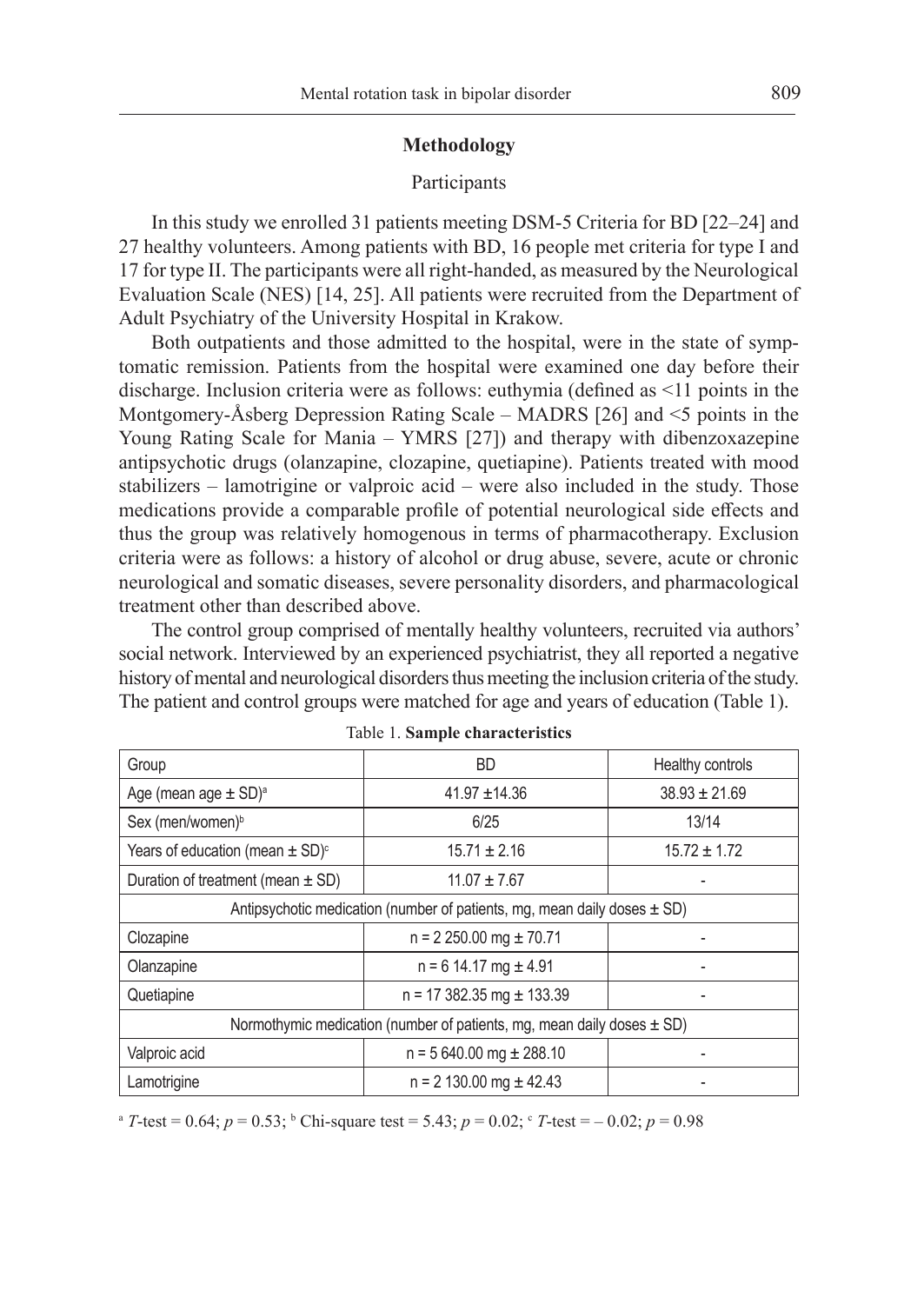## **Methodology**

## Participants

In this study we enrolled 31 patients meeting DSM-5 Criteria for BD [22–24] and 27 healthy volunteers. Among patients with BD, 16 people met criteria for type I and 17 for type II. The participants were all right-handed, as measured by the Neurological Evaluation Scale (NES) [14, 25]. All patients were recruited from the Department of Adult Psychiatry of the University Hospital in Krakow.

Both outpatients and those admitted to the hospital, were in the state of symptomatic remission. Patients from the hospital were examined one day before their discharge. Inclusion criteria were as follows: euthymia (defined as <11 points in the Montgomery-Åsberg Depression Rating Scale – MADRS [26] and <5 points in the Young Rating Scale for Mania – YMRS [27]) and therapy with dibenzoxazepine antipsychotic drugs (olanzapine, clozapine, quetiapine). Patients treated with mood stabilizers – lamotrigine or valproic acid – were also included in the study. Those medications provide a comparable profile of potential neurological side effects and thus the group was relatively homogenous in terms of pharmacotherapy. Exclusion criteria were as follows: a history of alcohol or drug abuse, severe, acute or chronic neurological and somatic diseases, severe personality disorders, and pharmacological treatment other than described above.

The control group comprised of mentally healthy volunteers, recruited via authors' social network. Interviewed by an experienced psychiatrist, they all reported a negative history of mental and neurological disorders thus meeting the inclusion criteria of the study. The patient and control groups were matched for age and years of education (Table 1).

| Group                                                                        | <b>BD</b>                      | Healthy controls  |  |  |  |
|------------------------------------------------------------------------------|--------------------------------|-------------------|--|--|--|
| Age (mean age $\pm$ SD) <sup>a</sup>                                         | $41.97 + 14.36$                | $38.93 \pm 21.69$ |  |  |  |
| Sex (men/women) <sup>b</sup>                                                 | 6/25                           | 13/14             |  |  |  |
| Years of education (mean $\pm$ SD) <sup>c</sup>                              | $15.71 \pm 2.16$               | $15.72 \pm 1.72$  |  |  |  |
| Duration of treatment (mean $\pm$ SD)                                        | $11.07 \pm 7.67$               |                   |  |  |  |
| Antipsychotic medication (number of patients, mg, mean daily doses $\pm$ SD) |                                |                   |  |  |  |
| Clozapine                                                                    | $n = 2250.00$ mg $\pm 70.71$   |                   |  |  |  |
| Olanzapine                                                                   | $n = 614.17$ mg $\pm 4.91$     |                   |  |  |  |
| Quetiapine                                                                   | $n = 17382.35$ mg $\pm 133.39$ |                   |  |  |  |
| Normothymic medication (number of patients, mg, mean daily doses $\pm$ SD)   |                                |                   |  |  |  |
| Valproic acid                                                                | $n = 5640.00$ mg $\pm 288.10$  |                   |  |  |  |
| Lamotrigine                                                                  | $n = 2$ 130.00 mg $\pm$ 42.43  |                   |  |  |  |

| Table 1. Sample characteristics |  |  |  |
|---------------------------------|--|--|--|
|---------------------------------|--|--|--|

 $a^{a}$  *T*-test = 0.64;  $p = 0.53$ ;  $b^{b}$  Chi-square test = 5.43;  $p = 0.02$ ;  $c^{c}$  *T*-test =  $-0.02$ ;  $p = 0.98$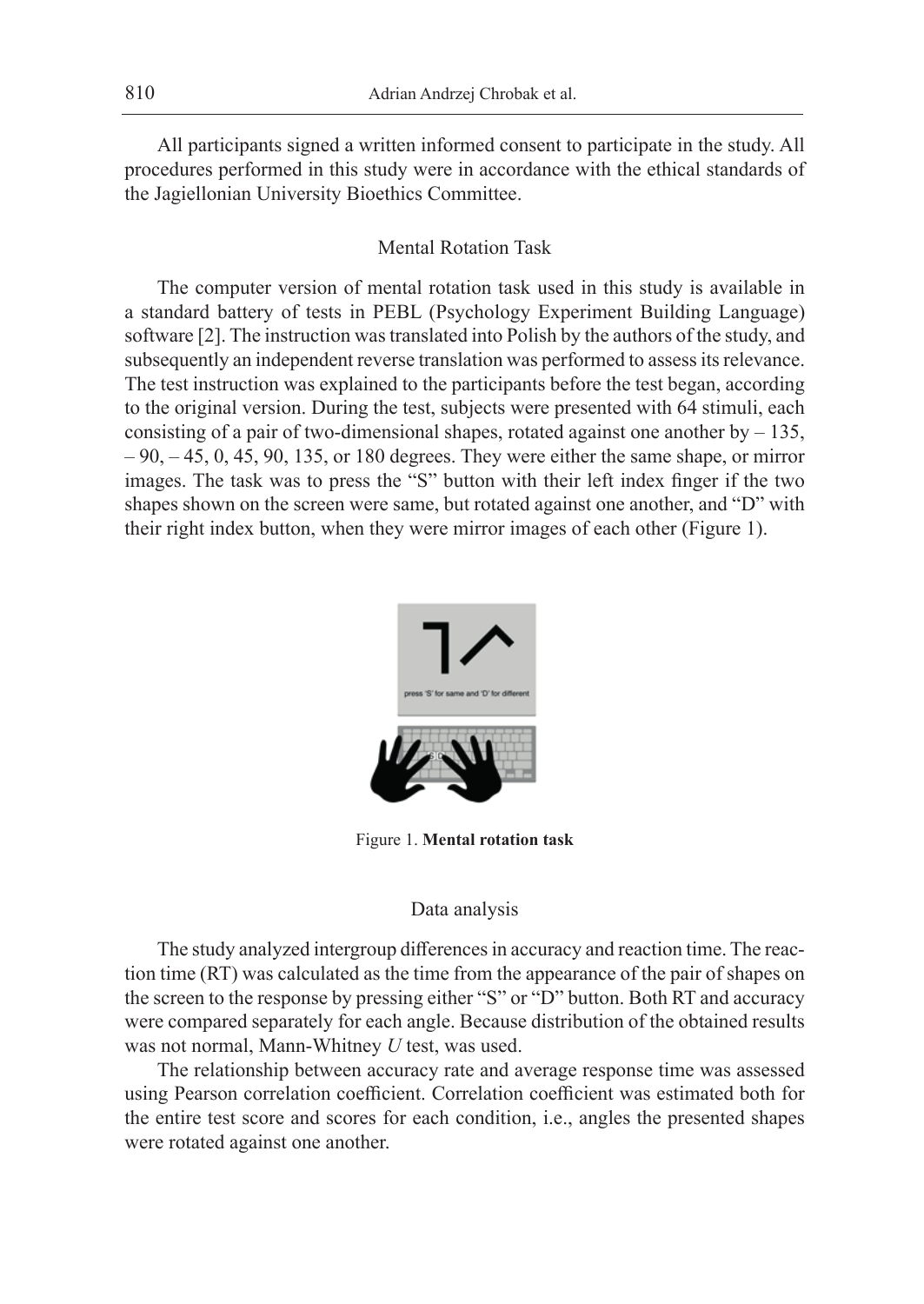All participants signed a written informed consent to participate in the study. All procedures performed in this study were in accordance with the ethical standards of the Jagiellonian University Bioethics Committee.

## Mental Rotation Task

The computer version of mental rotation task used in this study is available in a standard battery of tests in PEBL (Psychology Experiment Building Language) software [2]. The instruction was translated into Polish by the authors of the study, and subsequently an independent reverse translation was performed to assess its relevance. The test instruction was explained to the participants before the test began, according to the original version. During the test, subjects were presented with 64 stimuli, each consisting of a pair of two-dimensional shapes, rotated against one another by  $-135$ ,  $-90, -45, 0, 45, 90, 135,$  or 180 degrees. They were either the same shape, or mirror images. The task was to press the "S" button with their left index finger if the two shapes shown on the screen were same, but rotated against one another, and "D" with their right index button, when they were mirror images of each other (Figure 1).



Figure 1. **Mental rotation task**

## Data analysis

The study analyzed intergroup differences in accuracy and reaction time. The reaction time (RT) was calculated as the time from the appearance of the pair of shapes on the screen to the response by pressing either "S" or "D" button. Both RT and accuracy were compared separately for each angle. Because distribution of the obtained results was not normal, Mann-Whitney *U* test, was used.

The relationship between accuracy rate and average response time was assessed using Pearson correlation coefficient. Correlation coefficient was estimated both for the entire test score and scores for each condition, i.e., angles the presented shapes were rotated against one another.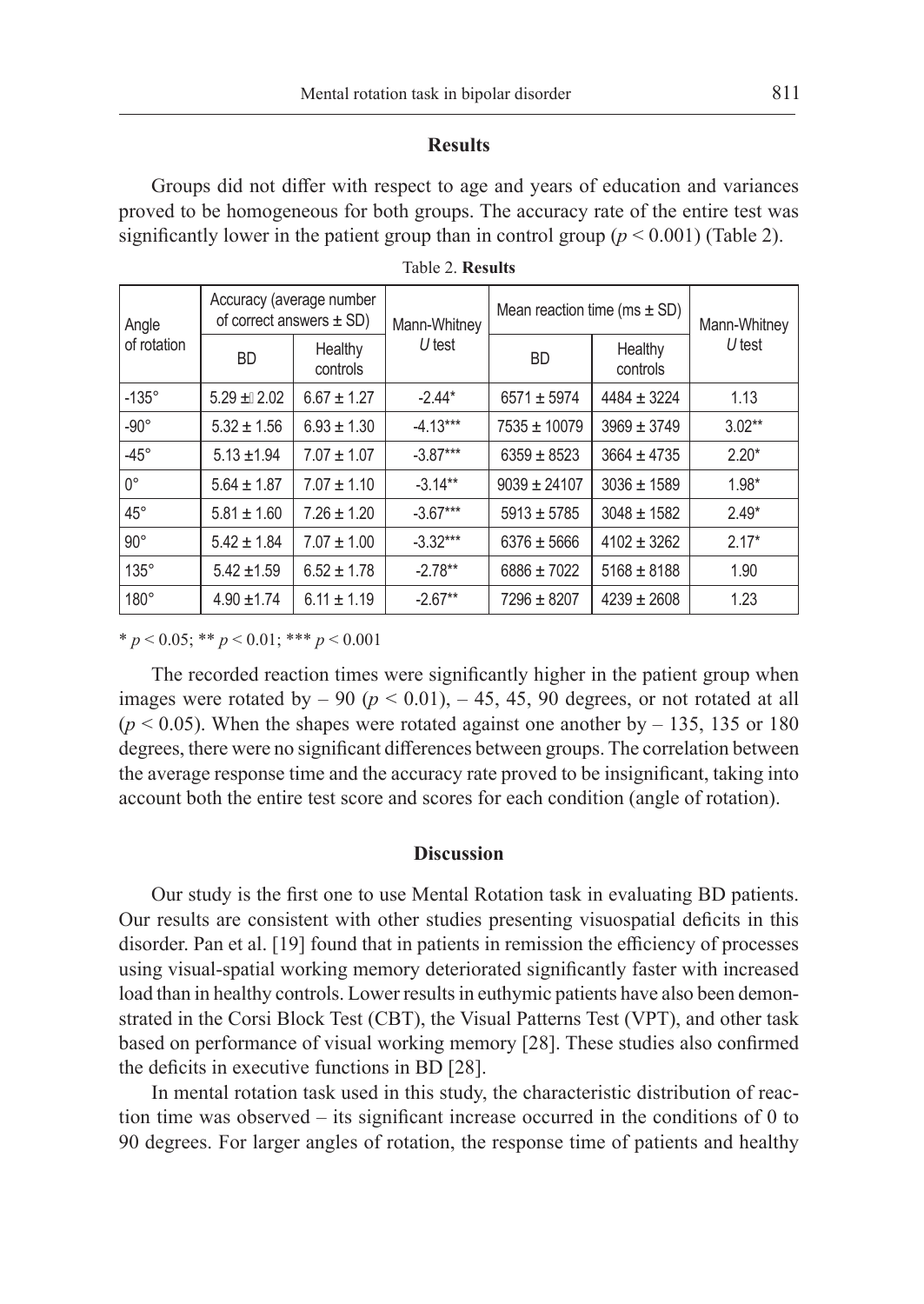### **Results**

Groups did not differ with respect to age and years of education and variances proved to be homogeneous for both groups. The accuracy rate of the entire test was significantly lower in the patient group than in control group  $(p < 0.001)$  (Table 2).

| Angle<br>of rotation | Accuracy (average number<br>of correct answers $\pm$ SD) |                     | Mann-Whitney | Mean reaction time (ms $\pm$ SD) |                     | Mann-Whitney |
|----------------------|----------------------------------------------------------|---------------------|--------------|----------------------------------|---------------------|--------------|
|                      | <b>BD</b>                                                | Healthy<br>controls | $U$ test     | <b>BD</b>                        | Healthy<br>controls | $U$ test     |
| $-135^\circ$         | $5.29 \pm 2.02$                                          | $6.67 \pm 1.27$     | $-2.44*$     | $6571 \pm 5974$                  | $4484 \pm 3224$     | 1.13         |
| $-90^\circ$          | $5.32 \pm 1.56$                                          | $6.93 \pm 1.30$     | $-4.13***$   | $7535 \pm 10079$                 | $3969 \pm 3749$     | $3.02**$     |
| $-45^{\circ}$        | $5.13 \pm 1.94$                                          | $7.07 \pm 1.07$     | $-3.87***$   | $6359 \pm 8523$                  | $3664 \pm 4735$     | $2.20*$      |
| $0^{\circ}$          | $5.64 \pm 1.87$                                          | $7.07 \pm 1.10$     | $-3.14***$   | $9039 \pm 24107$                 | $3036 \pm 1589$     | $1.98*$      |
| $45^{\circ}$         | $5.81 \pm 1.60$                                          | $7.26 \pm 1.20$     | $-3.67***$   | $5913 \pm 5785$                  | $3048 \pm 1582$     | $2.49*$      |
| $90^\circ$           | $5.42 \pm 1.84$                                          | $7.07 \pm 1.00$     | $-3.32***$   | $6376 \pm 5666$                  | $4102 \pm 3262$     | $2.17*$      |
| $135^\circ$          | $5.42 \pm 1.59$                                          | $6.52 \pm 1.78$     | $-2.78**$    | $6886 \pm 7022$                  | $5168 \pm 8188$     | 1.90         |
| $180^\circ$          | $4.90 \pm 1.74$                                          | $6.11 \pm 1.19$     | $-2.67**$    | $7296 \pm 8207$                  | $4239 \pm 2608$     | 1.23         |

|  |  | Table 2. Results |  |
|--|--|------------------|--|
|--|--|------------------|--|

\* *p* < 0.05; \*\* *p* < 0.01; \*\*\* *p* < 0.001

The recorded reaction times were significantly higher in the patient group when images were rotated by  $-90$  ( $p < 0.01$ ),  $-45$ , 45, 90 degrees, or not rotated at all  $(p < 0.05)$ . When the shapes were rotated against one another by  $-135$ , 135 or 180 degrees, there were no significant differences between groups. The correlation between the average response time and the accuracy rate proved to be insignificant, taking into account both the entire test score and scores for each condition (angle of rotation).

### **Discussion**

Our study is the first one to use Mental Rotation task in evaluating BD patients. Our results are consistent with other studies presenting visuospatial deficits in this disorder. Pan et al. [19] found that in patients in remission the efficiency of processes using visual-spatial working memory deteriorated significantly faster with increased load than in healthy controls. Lower results in euthymic patients have also been demonstrated in the Corsi Block Test (CBT), the Visual Patterns Test (VPT), and other task based on performance of visual working memory [28]. These studies also confirmed the deficits in executive functions in BD [28].

In mental rotation task used in this study, the characteristic distribution of reaction time was observed – its significant increase occurred in the conditions of 0 to 90 degrees. For larger angles of rotation, the response time of patients and healthy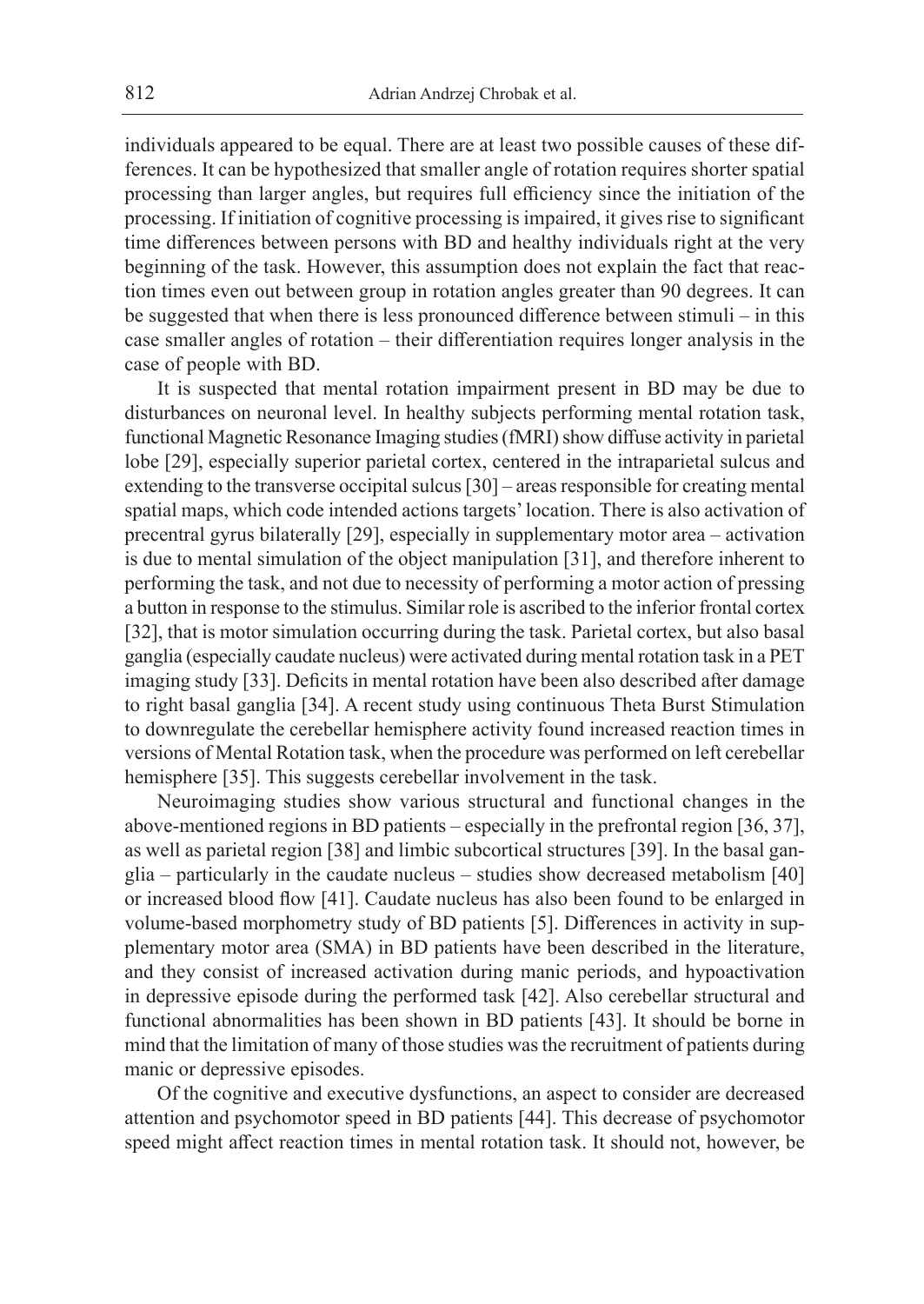individuals appeared to be equal. There are at least two possible causes of these differences. It can be hypothesized that smaller angle of rotation requires shorter spatial processing than larger angles, but requires full efficiency since the initiation of the processing. If initiation of cognitive processing is impaired, it gives rise to significant time differences between persons with BD and healthy individuals right at the very beginning of the task. However, this assumption does not explain the fact that reaction times even out between group in rotation angles greater than 90 degrees. It can be suggested that when there is less pronounced difference between stimuli – in this case smaller angles of rotation – their differentiation requires longer analysis in the case of people with BD.

It is suspected that mental rotation impairment present in BD may be due to disturbances on neuronal level. In healthy subjects performing mental rotation task, functional Magnetic Resonance Imaging studies (fMRI) show diffuse activity in parietal lobe [29], especially superior parietal cortex, centered in the intraparietal sulcus and extending to the transverse occipital sulcus [30] – areas responsible for creating mental spatial maps, which code intended actions targets' location. There is also activation of precentral gyrus bilaterally [29], especially in supplementary motor area – activation is due to mental simulation of the object manipulation [31], and therefore inherent to performing the task, and not due to necessity of performing a motor action of pressing a button in response to the stimulus. Similar role is ascribed to the inferior frontal cortex [32], that is motor simulation occurring during the task. Parietal cortex, but also basal ganglia (especially caudate nucleus) were activated during mental rotation task in a PET imaging study [33]. Deficits in mental rotation have been also described after damage to right basal ganglia [34]. A recent study using continuous Theta Burst Stimulation to downregulate the cerebellar hemisphere activity found increased reaction times in versions of Mental Rotation task, when the procedure was performed on left cerebellar hemisphere [35]. This suggests cerebellar involvement in the task.

Neuroimaging studies show various structural and functional changes in the above-mentioned regions in BD patients – especially in the prefrontal region [36, 37], as well as parietal region [38] and limbic subcortical structures [39]. In the basal ganglia – particularly in the caudate nucleus – studies show decreased metabolism [40] or increased blood flow [41]. Caudate nucleus has also been found to be enlarged in volume-based morphometry study of BD patients [5]. Differences in activity in supplementary motor area (SMA) in BD patients have been described in the literature, and they consist of increased activation during manic periods, and hypoactivation in depressive episode during the performed task [42]. Also cerebellar structural and functional abnormalities has been shown in BD patients [43]. It should be borne in mind that the limitation of many of those studies was the recruitment of patients during manic or depressive episodes.

Of the cognitive and executive dysfunctions, an aspect to consider are decreased attention and psychomotor speed in BD patients [44]. This decrease of psychomotor speed might affect reaction times in mental rotation task. It should not, however, be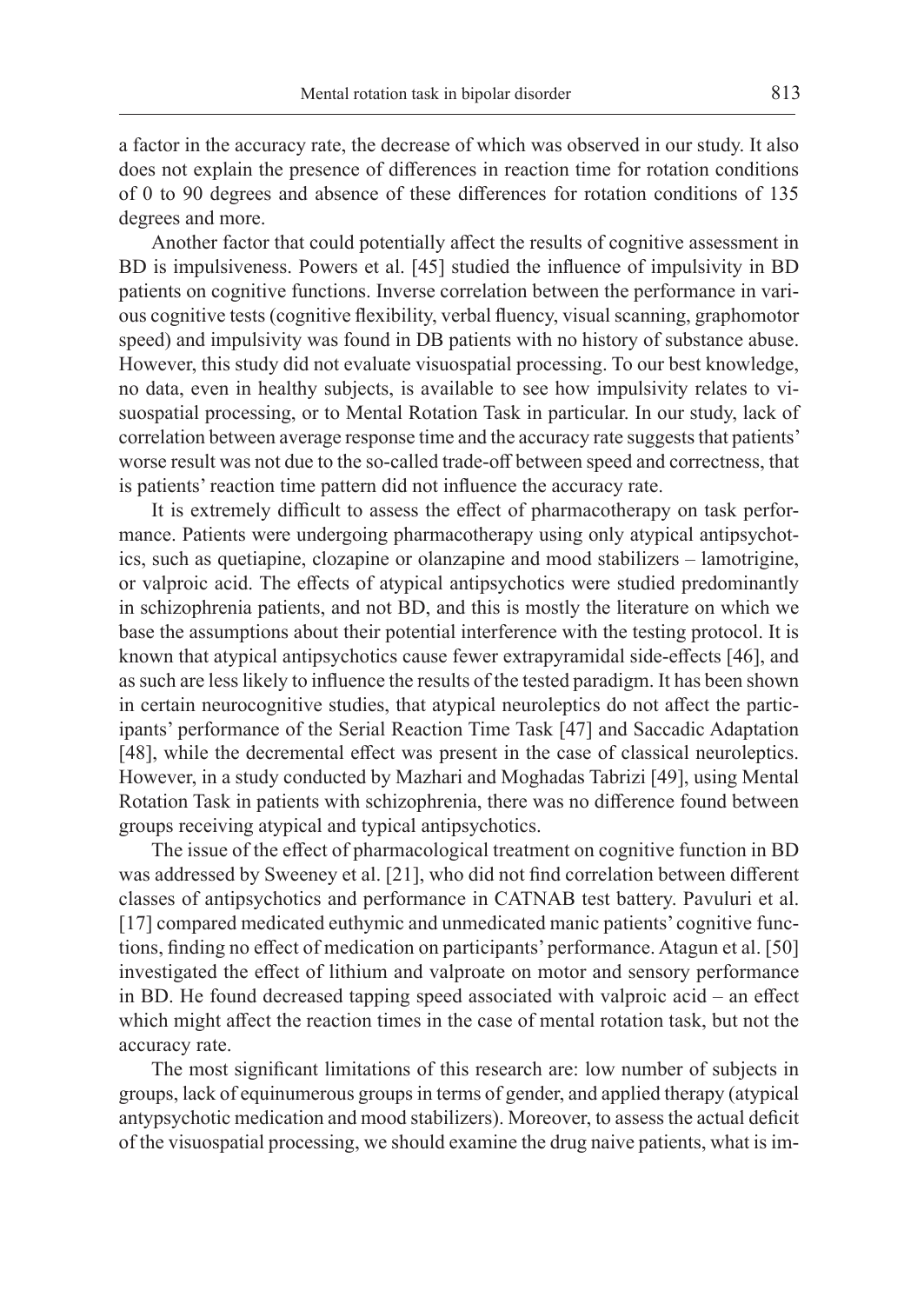a factor in the accuracy rate, the decrease of which was observed in our study. It also does not explain the presence of differences in reaction time for rotation conditions of 0 to 90 degrees and absence of these differences for rotation conditions of 135 degrees and more.

Another factor that could potentially affect the results of cognitive assessment in BD is impulsiveness. Powers et al. [45] studied the influence of impulsivity in BD patients on cognitive functions. Inverse correlation between the performance in various cognitive tests (cognitive flexibility, verbal fluency, visual scanning, graphomotor speed) and impulsivity was found in DB patients with no history of substance abuse. However, this study did not evaluate visuospatial processing. To our best knowledge, no data, even in healthy subjects, is available to see how impulsivity relates to visuospatial processing, or to Mental Rotation Task in particular. In our study, lack of correlation between average response time and the accuracy rate suggests that patients' worse result was not due to the so-called trade-off between speed and correctness, that is patients' reaction time pattern did not influence the accuracy rate.

It is extremely difficult to assess the effect of pharmacotherapy on task performance. Patients were undergoing pharmacotherapy using only atypical antipsychotics, such as quetiapine, clozapine or olanzapine and mood stabilizers – lamotrigine, or valproic acid. The effects of atypical antipsychotics were studied predominantly in schizophrenia patients, and not BD, and this is mostly the literature on which we base the assumptions about their potential interference with the testing protocol. It is known that atypical antipsychotics cause fewer extrapyramidal side-effects [46], and as such are less likely to influence the results of the tested paradigm. It has been shown in certain neurocognitive studies, that atypical neuroleptics do not affect the participants' performance of the Serial Reaction Time Task [47] and Saccadic Adaptation [48], while the decremental effect was present in the case of classical neuroleptics. However, in a study conducted by Mazhari and Moghadas Tabrizi [49], using Mental Rotation Task in patients with schizophrenia, there was no difference found between groups receiving atypical and typical antipsychotics.

The issue of the effect of pharmacological treatment on cognitive function in BD was addressed by Sweeney et al. [21], who did not find correlation between different classes of antipsychotics and performance in CATNAB test battery. Pavuluri et al. [17] compared medicated euthymic and unmedicated manic patients' cognitive functions, finding no effect of medication on participants' performance. Atagun et al. [50] investigated the effect of lithium and valproate on motor and sensory performance in BD. He found decreased tapping speed associated with valproic acid – an effect which might affect the reaction times in the case of mental rotation task, but not the accuracy rate.

The most significant limitations of this research are: low number of subjects in groups, lack of equinumerous groups in terms of gender, and applied therapy (atypical antypsychotic medication and mood stabilizers). Moreover, to assess the actual deficit of the visuospatial processing, we should examine the drug naive patients, what is im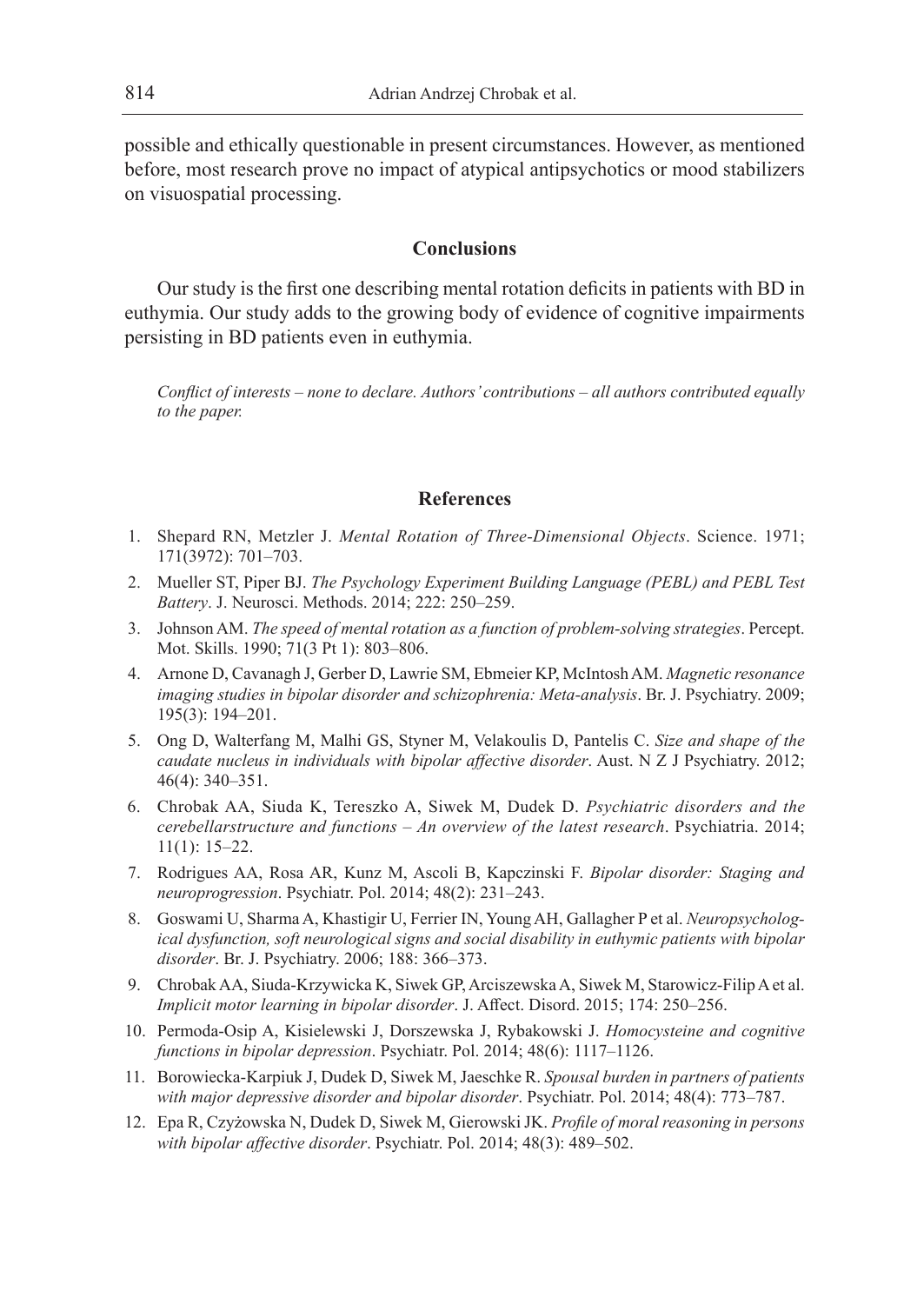possible and ethically questionable in present circumstances. However, as mentioned before, most research prove no impact of atypical antipsychotics or mood stabilizers on visuospatial processing.

## **Conclusions**

Our study is the first one describing mental rotation deficits in patients with BD in euthymia. Our study adds to the growing body of evidence of cognitive impairments persisting in BD patients even in euthymia.

*Conflict of interests – none to declare. Authors' contributions – all authors contributed equally to the paper.*

## **References**

- 1. Shepard RN, Metzler J. *Mental Rotation of Three-Dimensional Objects*. Science. 1971; 171(3972): 701–703.
- 2. Mueller ST, Piper BJ. *The Psychology Experiment Building Language (PEBL) and PEBL Test Battery*. J. Neurosci. Methods. 2014; 222: 250–259.
- 3. Johnson AM. *The speed of mental rotation as a function of problem-solving strategies*. Percept. Mot. Skills. 1990; 71(3 Pt 1): 803–806.
- 4. Arnone D, Cavanagh J, Gerber D, Lawrie SM, Ebmeier KP, McIntosh AM. *Magnetic resonance imaging studies in bipolar disorder and schizophrenia: Meta-analysis*. Br. J. Psychiatry. 2009; 195(3): 194–201.
- 5. Ong D, Walterfang M, Malhi GS, Styner M, Velakoulis D, Pantelis C. *Size and shape of the caudate nucleus in individuals with bipolar affective disorder*. Aust. N Z J Psychiatry. 2012; 46(4): 340–351.
- 6. Chrobak AA, Siuda K, Tereszko A, Siwek M, Dudek D. *Psychiatric disorders and the cerebellarstructure and functions – An overview of the latest research*. Psychiatria. 2014; 11(1): 15–22.
- 7. Rodrigues AA, Rosa AR, Kunz M, Ascoli B, Kapczinski F. *Bipolar disorder: Staging and neuroprogression*. Psychiatr. Pol. 2014; 48(2): 231–243.
- 8. Goswami U, Sharma A, Khastigir U, Ferrier IN, Young AH, Gallagher P et al. *Neuropsychological dysfunction, soft neurological signs and social disability in euthymic patients with bipolar disorder*. Br. J. Psychiatry. 2006; 188: 366–373.
- 9. Chrobak AA, Siuda-Krzywicka K, Siwek GP, Arciszewska A, Siwek M, Starowicz-Filip A et al. *Implicit motor learning in bipolar disorder*. J. Affect. Disord. 2015; 174: 250–256.
- 10. Permoda-Osip A, Kisielewski J, Dorszewska J, Rybakowski J. *Homocysteine and cognitive functions in bipolar depression*. Psychiatr. Pol. 2014; 48(6): 1117–1126.
- 11. Borowiecka-Karpiuk J, Dudek D, Siwek M, Jaeschke R. *Spousal burden in partners of patients with major depressive disorder and bipolar disorder*. Psychiatr. Pol. 2014; 48(4): 773–787.
- 12. Epa R, Czyżowska N, Dudek D, Siwek M, Gierowski JK. *Profile of moral reasoning in persons with bipolar affective disorder*. Psychiatr. Pol. 2014; 48(3): 489–502.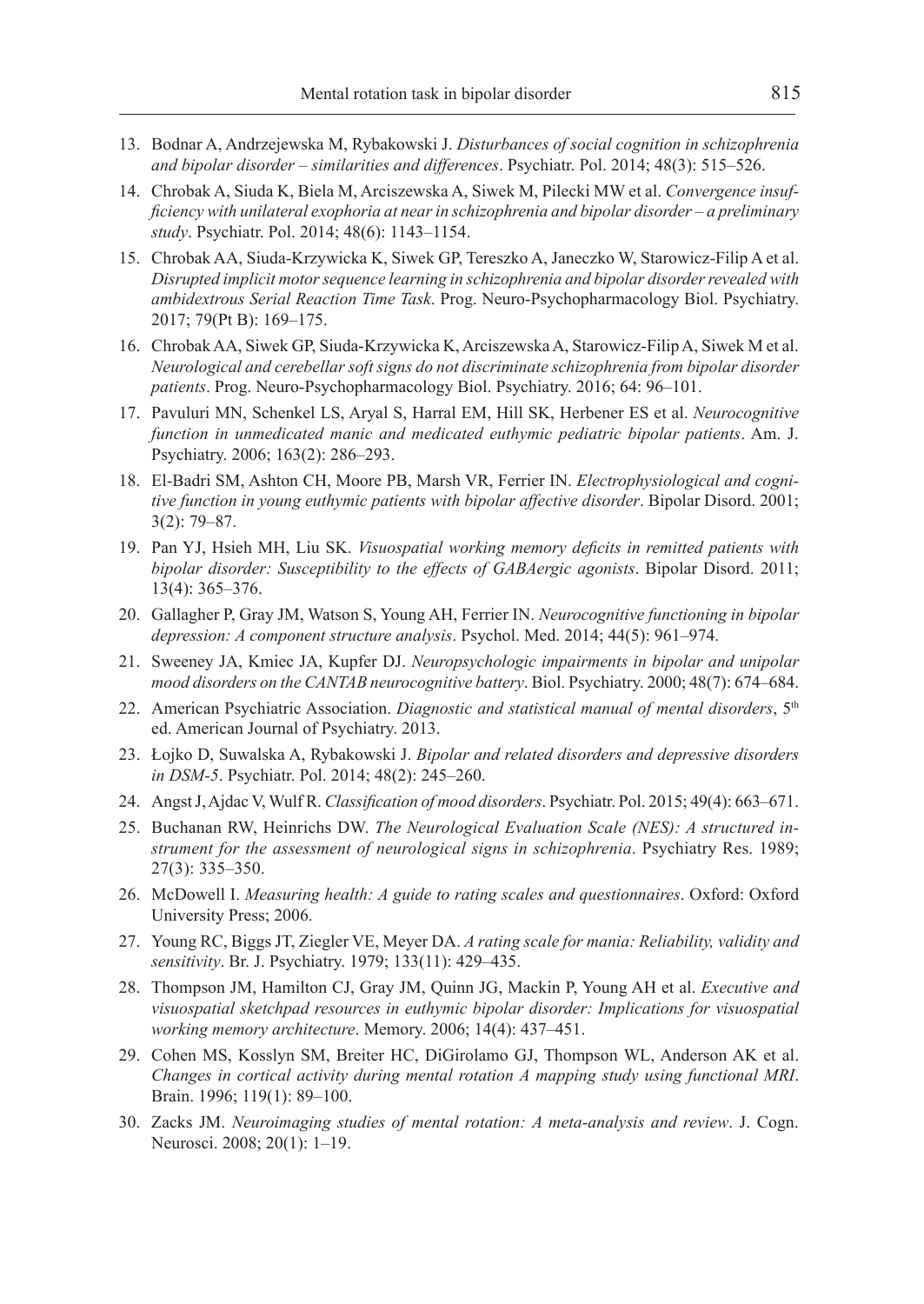- 13. Bodnar A, Andrzejewska M, Rybakowski J. *Disturbances of social cognition in schizophrenia and bipolar disorder – similarities and differences*. Psychiatr. Pol. 2014; 48(3): 515–526.
- 14. Chrobak A, Siuda K, Biela M, Arciszewska A, Siwek M, Pilecki MW et al. *Convergence insufficiency with unilateral exophoria at near in schizophrenia and bipolar disorder – a preliminary study*. Psychiatr. Pol. 2014; 48(6): 1143–1154.
- 15. Chrobak AA, Siuda-Krzywicka K, Siwek GP, Tereszko A, Janeczko W, Starowicz-Filip A et al. *Disrupted implicit motor sequence learning in schizophrenia and bipolar disorder revealed with ambidextrous Serial Reaction Time Task*. Prog. Neuro-Psychopharmacology Biol. Psychiatry. 2017; 79(Pt B): 169–175.
- 16. Chrobak AA, Siwek GP, Siuda-Krzywicka K, Arciszewska A, Starowicz-Filip A, Siwek M et al. *Neurological and cerebellar soft signs do not discriminate schizophrenia from bipolar disorder patients*. Prog. Neuro-Psychopharmacology Biol. Psychiatry. 2016; 64: 96–101.
- 17. Pavuluri MN, Schenkel LS, Aryal S, Harral EM, Hill SK, Herbener ES et al. *Neurocognitive function in unmedicated manic and medicated euthymic pediatric bipolar patients*. Am. J. Psychiatry. 2006; 163(2): 286–293.
- 18. El-Badri SM, Ashton CH, Moore PB, Marsh VR, Ferrier IN. *Electrophysiological and cognitive function in young euthymic patients with bipolar affective disorder*. Bipolar Disord. 2001; 3(2): 79–87.
- 19. Pan YJ, Hsieh MH, Liu SK. *Visuospatial working memory deficits in remitted patients with bipolar disorder: Susceptibility to the effects of GABAergic agonists*. Bipolar Disord. 2011; 13(4): 365–376.
- 20. Gallagher P, Gray JM, Watson S, Young AH, Ferrier IN. *Neurocognitive functioning in bipolar depression: A component structure analysis*. Psychol. Med. 2014; 44(5): 961–974.
- 21. Sweeney JA, Kmiec JA, Kupfer DJ. *Neuropsychologic impairments in bipolar and unipolar mood disorders on the CANTAB neurocognitive battery*. Biol. Psychiatry. 2000; 48(7): 674–684.
- 22. American Psychiatric Association. *Diagnostic and statistical manual of mental disorders*, 5th ed. American Journal of Psychiatry. 2013.
- 23. Łojko D, Suwalska A, Rybakowski J. *Bipolar and related disorders and depressive disorders in DSM-5*. Psychiatr. Pol. 2014; 48(2): 245–260.
- 24. Angst J, Ajdac V, Wulf R. *Classification of mood disorders*. Psychiatr. Pol. 2015; 49(4): 663–671.
- 25. Buchanan RW, Heinrichs DW. *The Neurological Evaluation Scale (NES): A structured instrument for the assessment of neurological signs in schizophrenia*. Psychiatry Res. 1989; 27(3): 335–350.
- 26. McDowell I. *Measuring health: A guide to rating scales and questionnaires*. Oxford: Oxford University Press; 2006.
- 27. Young RC, Biggs JT, Ziegler VE, Meyer DA. *A rating scale for mania: Reliability, validity and sensitivity*. Br. J. Psychiatry. 1979; 133(11): 429–435.
- 28. Thompson JM, Hamilton CJ, Gray JM, Quinn JG, Mackin P, Young AH et al. *Executive and visuospatial sketchpad resources in euthymic bipolar disorder: Implications for visuospatial working memory architecture*. Memory. 2006; 14(4): 437–451.
- 29. Cohen MS, Kosslyn SM, Breiter HC, DiGirolamo GJ, Thompson WL, Anderson AK et al. *Changes in cortical activity during mental rotation A mapping study using functional MRI*. Brain. 1996; 119(1): 89–100.
- 30. Zacks JM. *Neuroimaging studies of mental rotation: A meta-analysis and review*. J. Cogn. Neurosci. 2008; 20(1): 1–19.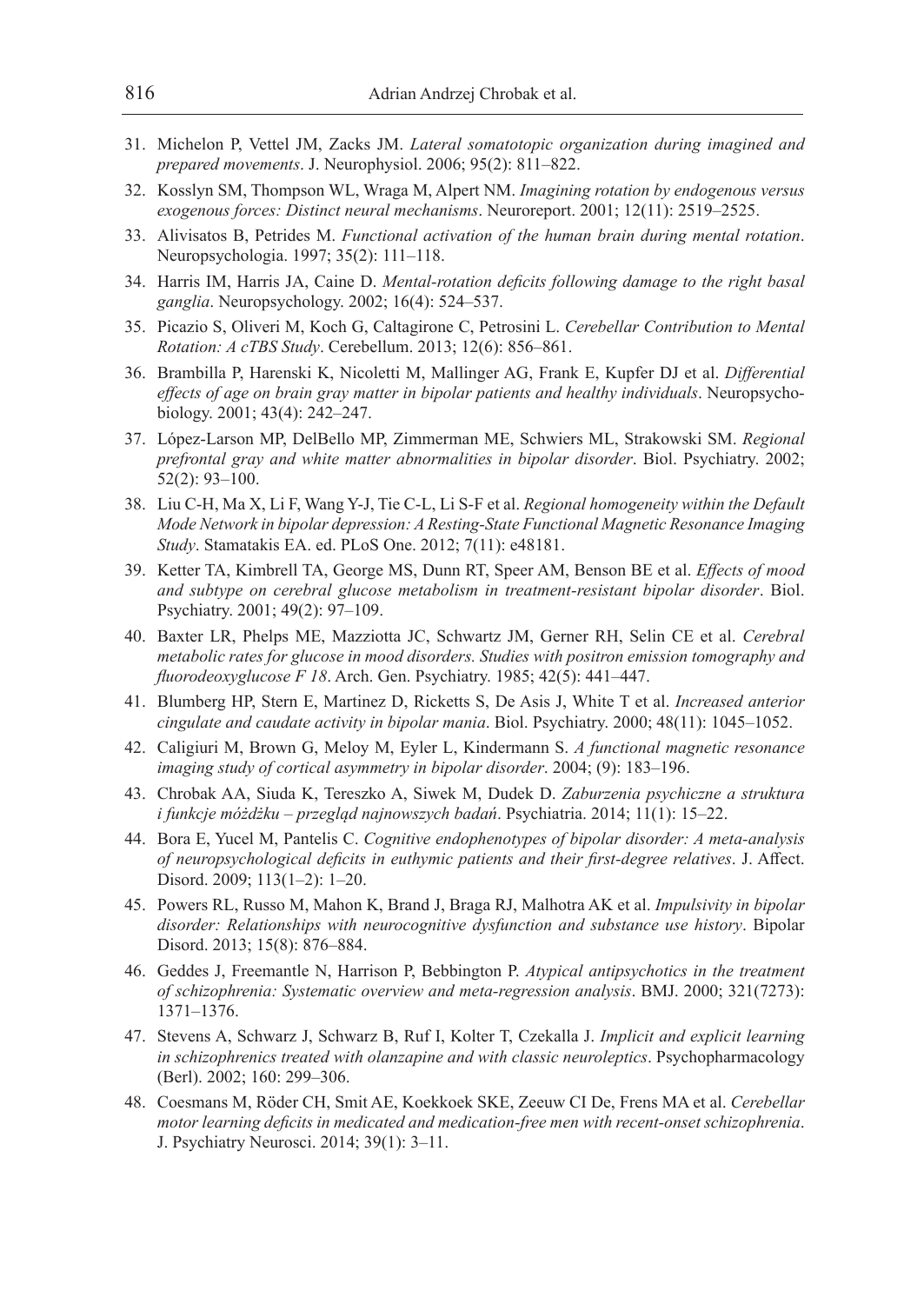- 31. Michelon P, Vettel JM, Zacks JM. *Lateral somatotopic organization during imagined and prepared movements*. J. Neurophysiol. 2006; 95(2): 811–822.
- 32. Kosslyn SM, Thompson WL, Wraga M, Alpert NM. *Imagining rotation by endogenous versus exogenous forces: Distinct neural mechanisms*. Neuroreport. 2001; 12(11): 2519–2525.
- 33. Alivisatos B, Petrides M. *Functional activation of the human brain during mental rotation*. Neuropsychologia. 1997; 35(2): 111–118.
- 34. Harris IM, Harris JA, Caine D. *Mental-rotation deficits following damage to the right basal ganglia*. Neuropsychology. 2002; 16(4): 524–537.
- 35. Picazio S, Oliveri M, Koch G, Caltagirone C, Petrosini L. *Cerebellar Contribution to Mental Rotation: A cTBS Study*. Cerebellum. 2013; 12(6): 856–861.
- 36. Brambilla P, Harenski K, Nicoletti M, Mallinger AG, Frank E, Kupfer DJ et al. *Differential effects of age on brain gray matter in bipolar patients and healthy individuals*. Neuropsychobiology. 2001; 43(4): 242–247.
- 37. López-Larson MP, DelBello MP, Zimmerman ME, Schwiers ML, Strakowski SM. *Regional prefrontal gray and white matter abnormalities in bipolar disorder*. Biol. Psychiatry. 2002; 52(2): 93–100.
- 38. Liu C-H, Ma X, Li F, Wang Y-J, Tie C-L, Li S-F et al. *Regional homogeneity within the Default Mode Network in bipolar depression: A Resting-State Functional Magnetic Resonance Imaging Study*. Stamatakis EA. ed. PLoS One. 2012; 7(11): e48181.
- 39. Ketter TA, Kimbrell TA, George MS, Dunn RT, Speer AM, Benson BE et al. *Effects of mood and subtype on cerebral glucose metabolism in treatment-resistant bipolar disorder*. Biol. Psychiatry. 2001; 49(2): 97–109.
- 40. Baxter LR, Phelps ME, Mazziotta JC, Schwartz JM, Gerner RH, Selin CE et al. *Cerebral metabolic rates for glucose in mood disorders. Studies with positron emission tomography and fluorodeoxyglucose F 18*. Arch. Gen. Psychiatry. 1985; 42(5): 441–447.
- 41. Blumberg HP, Stern E, Martinez D, Ricketts S, De Asis J, White T et al. *Increased anterior cingulate and caudate activity in bipolar mania*. Biol. Psychiatry. 2000; 48(11): 1045–1052.
- 42. Caligiuri M, Brown G, Meloy M, Eyler L, Kindermann S. *A functional magnetic resonance imaging study of cortical asymmetry in bipolar disorder*. 2004; (9): 183–196.
- 43. Chrobak AA, Siuda K, Tereszko A, Siwek M, Dudek D. *Zaburzenia psychiczne a struktura i funkcje móżdżku – przegląd najnowszych badań*. Psychiatria. 2014; 11(1): 15–22.
- 44. Bora E, Yucel M, Pantelis C. *Cognitive endophenotypes of bipolar disorder: A meta-analysis of neuropsychological deficits in euthymic patients and their first-degree relatives*. J. Affect. Disord. 2009; 113(1–2): 1–20.
- 45. Powers RL, Russo M, Mahon K, Brand J, Braga RJ, Malhotra AK et al. *Impulsivity in bipolar disorder: Relationships with neurocognitive dysfunction and substance use history*. Bipolar Disord. 2013; 15(8): 876–884.
- 46. Geddes J, Freemantle N, Harrison P, Bebbington P. *Atypical antipsychotics in the treatment of schizophrenia: Systematic overview and meta-regression analysis*. BMJ. 2000; 321(7273): 1371–1376.
- 47. Stevens A, Schwarz J, Schwarz B, Ruf I, Kolter T, Czekalla J. *Implicit and explicit learning in schizophrenics treated with olanzapine and with classic neuroleptics*. Psychopharmacology (Berl). 2002; 160: 299–306.
- 48. Coesmans M, Röder CH, Smit AE, Koekkoek SKE, Zeeuw CI De, Frens MA et al. *Cerebellar motor learning deficits in medicated and medication-free men with recent-onset schizophrenia*. J. Psychiatry Neurosci. 2014; 39(1): 3–11.